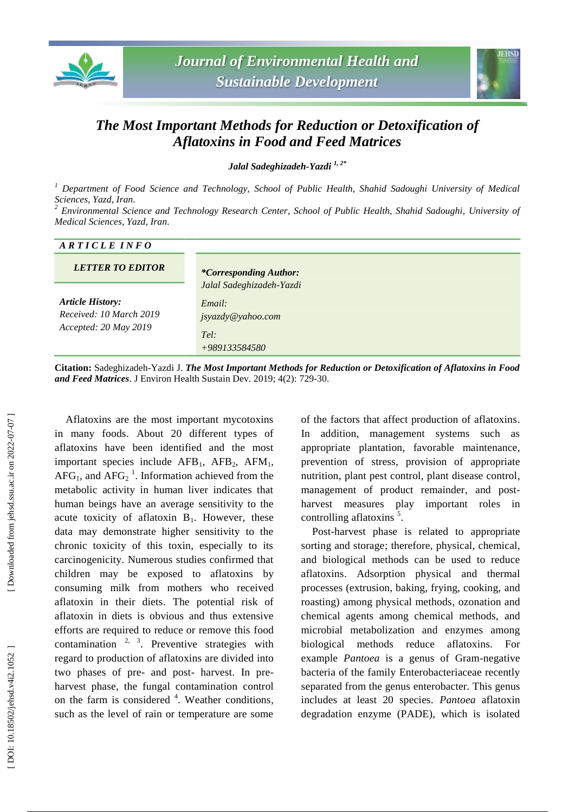



## *The Most Important Methods for Reduction or Detoxification of Aflatoxins in Food and Feed Matrices*

*Jalal Sadeghizadeh -Yazdi 1, 2 \**

<sup>1</sup> Department of Food Science and Technology, School of Public Health, Shahid Sadoughi University of Medical *Sciences, Yazd, Iran .*

*<sup>2</sup> Environmental Science and Technology Research Center, School of Public Health, Shahid Sadoughi, University of Medical Sciences, Yazd, Iran .*

## *A R T I C L E I N F O*

| <b>LETTER TO EDITOR</b>                                                     | <i>*Corresponding Author:</i>                                                    |
|-----------------------------------------------------------------------------|----------------------------------------------------------------------------------|
| <b>Article History:</b><br>Received: 10 March 2019<br>Accepted: 20 May 2019 | Jalal Sadeghizadeh-Yazdi<br>Email:<br>jsyazdy@yahoo.com<br>Tel:<br>+989133584580 |

**Citation:** Sadeghizadeh -Yazdi J. *The Most Important Methods for Reduction or Detoxification of Aflatoxins in Food and Feed Matrices*. J Environ Health Sustain Dev. 2019; 4(2): 729 -30.

Aflatoxins are the most important mycotoxins in many foods . About 20 different types of aflatoxins have been identified and the most important species include AFB<sub>1</sub>, AFB<sub>2</sub>, AFM<sub>1</sub>,  $AFG_1$ , and  $AFG_2$ <sup>1</sup>. Information achieved from the metabolic activity in human liver indicates that human beings have a n average sensitivity to the acute toxicity of aflatoxin  $B_1$ . However, these data may demonstrate higher sensitivity to the chronic toxicity of this toxin, especially to its carcinogenicity . Numerous studies confirmed that children may be exposed to aflatoxins by consuming milk from mothers who received aflatoxin in their diets. The potential risk of aflatoxin in diets i s obvious and thus extensive efforts are required to reduce or remove this food contamination  $2, 3$ . Preventive strategies with regard to production of aflatoxins are divided into two phases of pre- and post- harvest. In preharvest phase , the fungal contamination control on the farm is considered <sup>4</sup>. Weather conditions, such as the level of rain or temperature are some

of the factors that affect production of aflatoxins. In addition, management systems such as appropriate plantation, favorable maintenance , prevention of stress, provision of appropriate nutrition , plant pest control, plant disease control , management of product remainder , and post harvest measures play important roles in controlling aflatoxins<sup>5</sup>.

Post -harvest phase is related to appropriate sorting and storage; therefore, physical, chemical, and biological methods can be used to reduce aflatoxins . Adsorption physical and thermal processes (extrusion, baking, frying, cooking, and roasting) among physical methods, ozonation and chemical agents among chemical methods, and microbial metabolization and enzymes among biological methods reduce aflatoxins . For example *Pantoea* is a genus of Gram -negative bacteria of the family Enterobacteriaceae recently separated from the genus enterobacter *.* This genus includes at least 20 species. *Pantoea* aflatoxin degradation enzyme (PADE), which is isolated